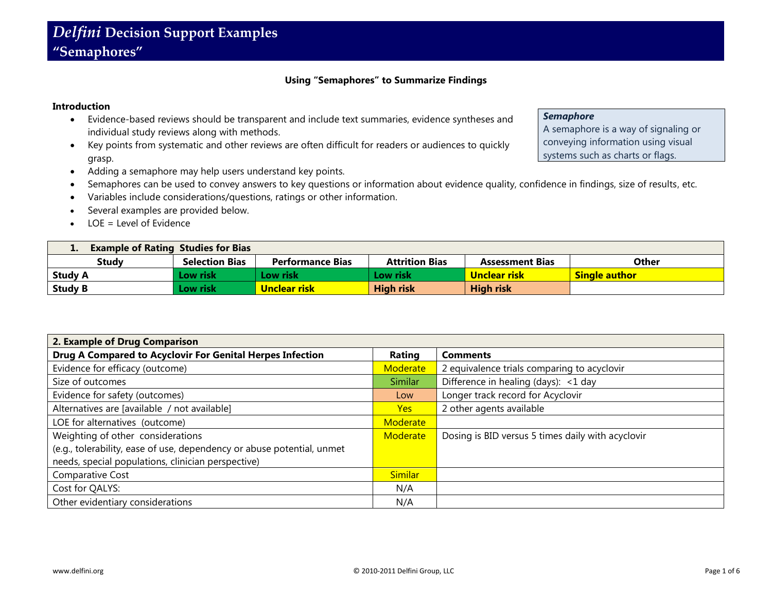# **Using "Semaphores" to Summarize Findings**

#### **Introduction**

- Evidence-based reviews should be transparent and include text summaries, evidence syntheses and individual study reviews along with methods.
- Key points from systematic and other reviews are often difficult for readers or audiences to quickly grasp.
- Adding a semaphore may help users understand key points.
- Semaphores can be used to convey answers to key questions or information about evidence quality, confidence in findings, size of results, etc.
- Variables include considerations/questions, ratings or other information.
- Several examples are provided below.
- LOE = Level of Evidence

| <b>Example of Rating Studies for Bias</b><br>$\mathbf{r}$ |                       |                         |                       |                        |                      |
|-----------------------------------------------------------|-----------------------|-------------------------|-----------------------|------------------------|----------------------|
| <b>Study</b>                                              | <b>Selection Bias</b> | <b>Performance Bias</b> | <b>Attrition Bias</b> | <b>Assessment Bias</b> | <b>Other</b>         |
| <b>Study A</b>                                            | Low risk l            | Low risk                | Low risk              | Unclear risk           | <b>Single author</b> |
| <b>Study B</b>                                            | .ow risk              | Unclear risk            | <b>High risk</b>      | <b>High risk</b>       |                      |

| 2. Example of Drug Comparison                                          |                                                         |                                                   |
|------------------------------------------------------------------------|---------------------------------------------------------|---------------------------------------------------|
| Drug A Compared to Acyclovir For Genital Herpes Infection              | Rating<br><b>Comments</b>                               |                                                   |
| Evidence for efficacy (outcome)                                        | 2 equivalence trials comparing to acyclovir<br>Moderate |                                                   |
| Size of outcomes                                                       | Difference in healing (days): <1 day<br><b>Similar</b>  |                                                   |
| Evidence for safety (outcomes)                                         | Longer track record for Acyclovir<br>Low                |                                                   |
| Alternatives are [available / not available]                           | Yes                                                     | 2 other agents available                          |
| LOE for alternatives (outcome)                                         | Moderate                                                |                                                   |
| Weighting of other considerations                                      | Moderate                                                | Dosing is BID versus 5 times daily with acyclovir |
| (e.g., tolerability, ease of use, dependency or abuse potential, unmet |                                                         |                                                   |
| needs, special populations, clinician perspective)                     |                                                         |                                                   |
| Comparative Cost                                                       | <b>Similar</b>                                          |                                                   |
| Cost for QALYS:                                                        | N/A                                                     |                                                   |
| Other evidentiary considerations                                       | N/A                                                     |                                                   |

# *Semaphore*

A semaphore is a way of signaling or conveying information using visual systems such as charts or flags.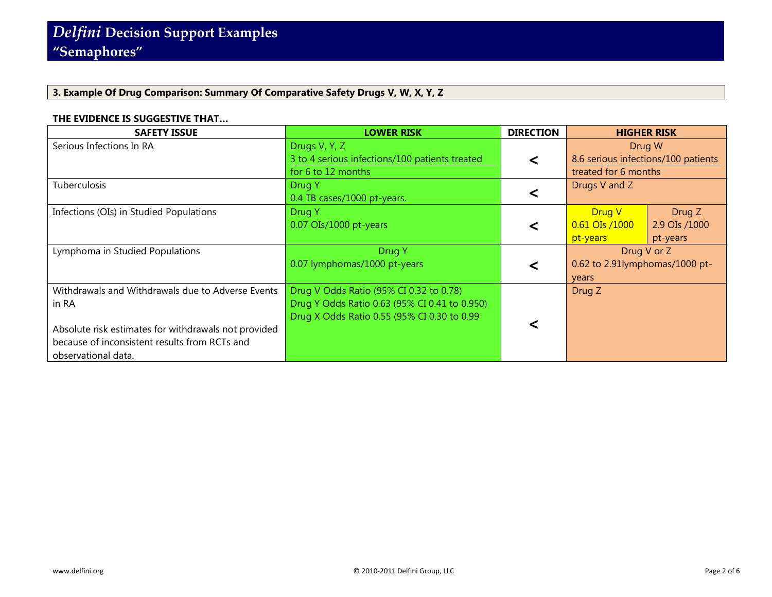# **3. Example Of Drug Comparison: Summary Of Comparative Safety Drugs V, W, X, Y, Z**

# **THE EVIDENCE IS SUGGESTIVE THAT…**

| <b>SAFETY ISSUE</b>                                                                                                          | <b>LOWER RISK</b>                                                                                                                       | <b>DIRECTION</b> | <b>HIGHER RISK</b>                                                          |
|------------------------------------------------------------------------------------------------------------------------------|-----------------------------------------------------------------------------------------------------------------------------------------|------------------|-----------------------------------------------------------------------------|
| Serious Infections In RA                                                                                                     | Drugs V, Y, Z<br>3 to 4 serious infections/100 patients treated<br>for 6 to 12 months                                                   | <                | Drug W<br>8.6 serious infections/100 patients<br>treated for 6 months       |
| Tuberculosis                                                                                                                 | Drug Y<br>0.4 TB cases/1000 pt-years.                                                                                                   |                  | Drugs V and Z                                                               |
| Infections (OIs) in Studied Populations                                                                                      | Drug Y<br>$0.07$ OIs/1000 pt-years                                                                                                      | ≺                | Drug V<br>Drug Z<br>0.61 OIs /1000<br>2.9 OIs /1000<br>pt-years<br>pt-years |
| Lymphoma in Studied Populations                                                                                              | Drug Y<br>0.07 lymphomas/1000 pt-years                                                                                                  | <                | Drug V or Z<br>0.62 to 2.91lymphomas/1000 pt-<br>years                      |
| Withdrawals and Withdrawals due to Adverse Events<br>in RA                                                                   | Drug V Odds Ratio (95% CI 0.32 to 0.78)<br>Drug Y Odds Ratio 0.63 (95% CI 0.41 to 0.950)<br>Drug X Odds Ratio 0.55 (95% CI 0.30 to 0.99 |                  | Drug Z                                                                      |
| Absolute risk estimates for withdrawals not provided<br>because of inconsistent results from RCTs and<br>observational data. |                                                                                                                                         |                  |                                                                             |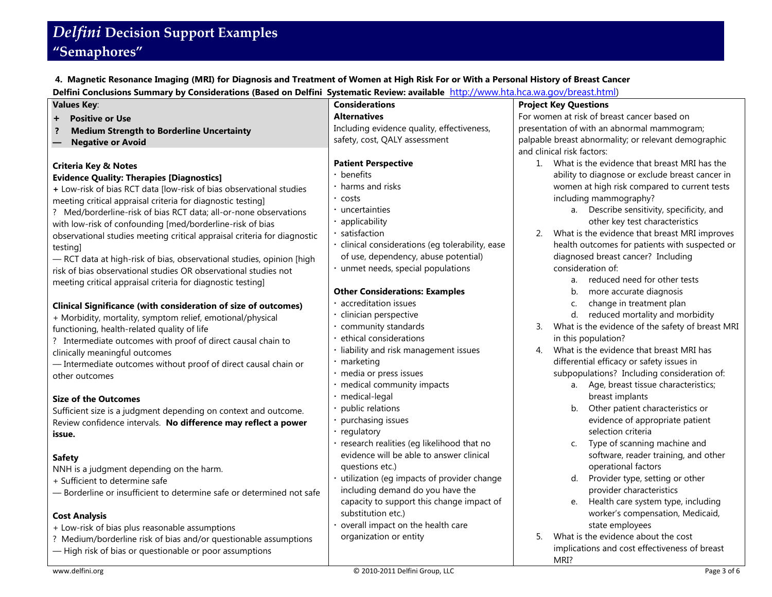# *Delfini* **Decision Support Examples "Semaphores"**

**4. Magnetic Resonance Imaging (MRI) for Diagnosis and Treatment of Women at High Risk For or With a Personal History of Breast Cancer**

**Delfini Conclusions Summary by Considerations (Based on Delfini Systematic Review: available** [http://www.hta.hca.wa.gov/breast.html\)](http://www.hta.hca.wa.gov/breast.html)

| <b>Values Key:</b>                                                         | <b>Considerations</b>                            | <b>Project Key Questions</b>                                   |  |  |
|----------------------------------------------------------------------------|--------------------------------------------------|----------------------------------------------------------------|--|--|
| <b>Positive or Use</b><br>$\ddot{}$                                        | <b>Alternatives</b>                              | For women at risk of breast cancer based on                    |  |  |
| <b>Medium Strength to Borderline Uncertainty</b><br>-?                     | Including evidence quality, effectiveness,       | presentation of with an abnormal mammogram;                    |  |  |
| <b>Negative or Avoid</b>                                                   | safety, cost, QALY assessment                    | palpable breast abnormality; or relevant demographic           |  |  |
|                                                                            |                                                  | and clinical risk factors:                                     |  |  |
| <b>Criteria Key &amp; Notes</b>                                            | <b>Patient Perspective</b>                       | What is the evidence that breast MRI has the<br>1 <sup>1</sup> |  |  |
| <b>Evidence Quality: Therapies [Diagnostics]</b>                           | • benefits                                       | ability to diagnose or exclude breast cancer in                |  |  |
| + Low-risk of bias RCT data [low-risk of bias observational studies        | • harms and risks                                | women at high risk compared to current tests                   |  |  |
| meeting critical appraisal criteria for diagnostic testing]                | • costs                                          | including mammography?                                         |  |  |
| ? Med/borderline-risk of bias RCT data; all-or-none observations           | · uncertainties                                  | a. Describe sensitivity, specificity, and                      |  |  |
| with low-risk of confounding [med/borderline-risk of bias                  | • applicability                                  | other key test characteristics                                 |  |  |
| observational studies meeting critical appraisal criteria for diagnostic   | satisfaction                                     | What is the evidence that breast MRI improves<br>2.            |  |  |
| testing]                                                                   | · clinical considerations (eg tolerability, ease | health outcomes for patients with suspected or                 |  |  |
| - RCT data at high-risk of bias, observational studies, opinion [high      | of use, dependency, abuse potential)             | diagnosed breast cancer? Including                             |  |  |
| risk of bias observational studies OR observational studies not            | · unmet needs, special populations               | consideration of:                                              |  |  |
| meeting critical appraisal criteria for diagnostic testing]                |                                                  | a. reduced need for other tests                                |  |  |
|                                                                            | <b>Other Considerations: Examples</b>            | more accurate diagnosis<br>b.                                  |  |  |
| <b>Clinical Significance (with consideration of size of outcomes)</b>      | · accreditation issues                           | change in treatment plan<br>C.                                 |  |  |
| + Morbidity, mortality, symptom relief, emotional/physical                 | clinician perspective                            | reduced mortality and morbidity<br>d.                          |  |  |
| functioning, health-related quality of life                                | community standards                              | What is the evidence of the safety of breast MRI<br>3.         |  |  |
| ? Intermediate outcomes with proof of direct causal chain to               | ethical considerations                           | in this population?                                            |  |  |
| clinically meaningful outcomes                                             | · liability and risk management issues           | What is the evidence that breast MRI has<br>4.                 |  |  |
| - Intermediate outcomes without proof of direct causal chain or            | · marketing                                      | differential efficacy or safety issues in                      |  |  |
| other outcomes                                                             | · media or press issues                          | subpopulations? Including consideration of:                    |  |  |
|                                                                            | · medical community impacts                      | a. Age, breast tissue characteristics;                         |  |  |
| <b>Size of the Outcomes</b>                                                | · medical-legal<br>public relations              | breast implants<br>Other patient characteristics or<br>b.      |  |  |
| Sufficient size is a judgment depending on context and outcome.            | • purchasing issues                              | evidence of appropriate patient                                |  |  |
| Review confidence intervals. No difference may reflect a power             | · regulatory                                     | selection criteria                                             |  |  |
| issue.                                                                     | · research realities (eg likelihood that no      | Type of scanning machine and<br>C.                             |  |  |
|                                                                            | evidence will be able to answer clinical         | software, reader training, and other                           |  |  |
| <b>Safety</b>                                                              | questions etc.)                                  | operational factors                                            |  |  |
| NNH is a judgment depending on the harm.<br>+ Sufficient to determine safe | utilization (eg impacts of provider change       | Provider type, setting or other<br>d.                          |  |  |
| - Borderline or insufficient to determine safe or determined not safe      | including demand do you have the                 | provider characteristics                                       |  |  |
|                                                                            | capacity to support this change impact of        | Health care system type, including<br>e.                       |  |  |
| <b>Cost Analysis</b>                                                       | substitution etc.)                               | worker's compensation, Medicaid,                               |  |  |
| + Low-risk of bias plus reasonable assumptions                             | overall impact on the health care                | state employees                                                |  |  |
| ? Medium/borderline risk of bias and/or questionable assumptions           | organization or entity                           | What is the evidence about the cost<br>5.                      |  |  |
| - High risk of bias or questionable or poor assumptions                    |                                                  | implications and cost effectiveness of breast                  |  |  |
|                                                                            |                                                  | MRI?                                                           |  |  |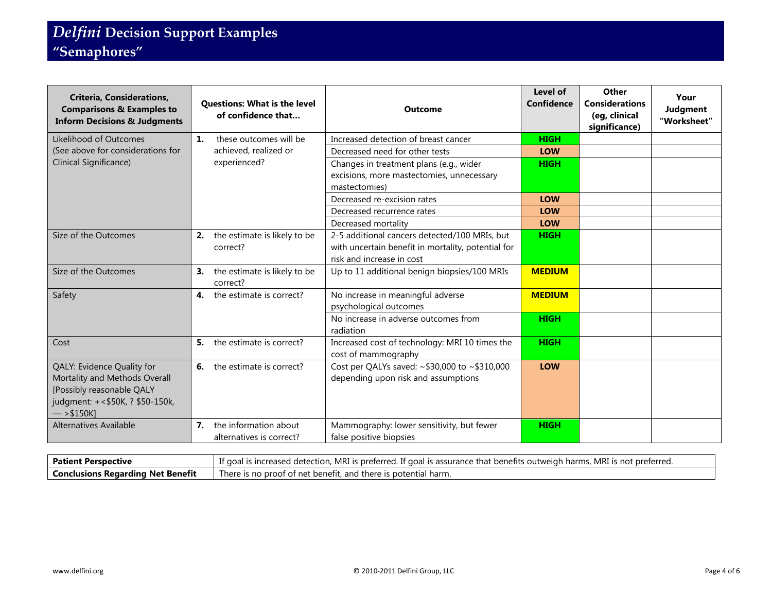| <b>Criteria, Considerations,</b><br><b>Comparisons &amp; Examples to</b><br><b>Inform Decisions &amp; Judgments</b>                          | <b>Questions: What is the level</b><br>of confidence that | <b>Outcome</b>                                                                                                                   | Level of<br>Confidence | Other<br><b>Considerations</b><br>(eg, clinical<br>significance) | Your<br>Judgment<br>"Worksheet" |
|----------------------------------------------------------------------------------------------------------------------------------------------|-----------------------------------------------------------|----------------------------------------------------------------------------------------------------------------------------------|------------------------|------------------------------------------------------------------|---------------------------------|
| Likelihood of Outcomes                                                                                                                       | $\mathbf{1}$ .<br>these outcomes will be                  | Increased detection of breast cancer                                                                                             | <b>HIGH</b>            |                                                                  |                                 |
| (See above for considerations for                                                                                                            | achieved, realized or                                     | Decreased need for other tests                                                                                                   | <b>LOW</b>             |                                                                  |                                 |
| Clinical Significance)                                                                                                                       | experienced?                                              | Changes in treatment plans (e.g., wider<br>excisions, more mastectomies, unnecessary<br>mastectomies)                            | <b>HIGH</b>            |                                                                  |                                 |
|                                                                                                                                              |                                                           | Decreased re-excision rates                                                                                                      | <b>LOW</b>             |                                                                  |                                 |
|                                                                                                                                              |                                                           | Decreased recurrence rates                                                                                                       | <b>LOW</b>             |                                                                  |                                 |
|                                                                                                                                              |                                                           | Decreased mortality                                                                                                              | <b>LOW</b>             |                                                                  |                                 |
| Size of the Outcomes                                                                                                                         | the estimate is likely to be<br>2.<br>correct?            | 2-5 additional cancers detected/100 MRIs, but<br>with uncertain benefit in mortality, potential for<br>risk and increase in cost | <b>HIGH</b>            |                                                                  |                                 |
| Size of the Outcomes                                                                                                                         | the estimate is likely to be<br>3.<br>correct?            | Up to 11 additional benign biopsies/100 MRIs                                                                                     | <b>MEDIUM</b>          |                                                                  |                                 |
| Safety                                                                                                                                       | the estimate is correct?<br>4.                            | No increase in meaningful adverse<br>psychological outcomes                                                                      | <b>MEDIUM</b>          |                                                                  |                                 |
|                                                                                                                                              |                                                           | No increase in adverse outcomes from<br>radiation                                                                                | <b>HIGH</b>            |                                                                  |                                 |
| Cost                                                                                                                                         | the estimate is correct?<br>5.                            | Increased cost of technology: MRI 10 times the<br>cost of mammography                                                            | <b>HIGH</b>            |                                                                  |                                 |
| QALY: Evidence Quality for<br>Mortality and Methods Overall<br>[Possibly reasonable QALY<br>judgment: +<\$50K, ? \$50-150k,<br>$-$ > \$150K] | <b>6.</b> the estimate is correct?                        | Cost per QALYs saved: ~\$30,000 to ~\$310,000<br>depending upon risk and assumptions                                             | <b>LOW</b>             |                                                                  |                                 |
| <b>Alternatives Available</b>                                                                                                                | the information about<br>7.<br>alternatives is correct?   | Mammography: lower sensitivity, but fewer<br>false positive biopsies                                                             | <b>HIGH</b>            |                                                                  |                                 |

| Patient Perspective               | ). MRI is preferred. If goal is assurance that benefits outweigh harms. MRI is not preferred.<br>s increased.<br>l detection.<br>ut doa'i |
|-----------------------------------|-------------------------------------------------------------------------------------------------------------------------------------------|
| Conclusions Regarding Net Benefit | There is no $L$<br>∩ proof of net benefit, and there is potential harm.                                                                   |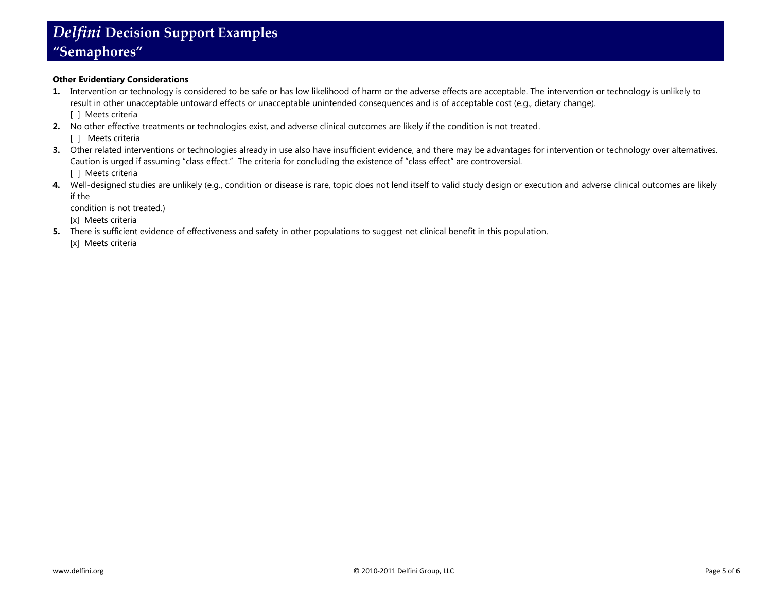### **Other Evidentiary Considerations**

- **1.** Intervention or technology is considered to be safe or has low likelihood of harm or the adverse effects are acceptable. The intervention or technology is unlikely to result in other unacceptable untoward effects or unacceptable unintended consequences and is of acceptable cost (e.g., dietary change). [ ] Meets criteria
- **2.** No other effective treatments or technologies exist, and adverse clinical outcomes are likely if the condition is not treated.
	- [ ] Meets criteria
- **3.** Other related interventions or technologies already in use also have insufficient evidence, and there may be advantages for intervention or technology over alternatives. Caution is urged if assuming "class effect." The criteria for concluding the existence of "class effect" are controversial. [ ] Meets criteria
- 4. Well-designed studies are unlikely (e.g., condition or disease is rare, topic does not lend itself to valid study design or execution and adverse clinical outcomes are likely if the

condition is not treated.)

[x] Meets criteria

**5.** There is sufficient evidence of effectiveness and safety in other populations to suggest net clinical benefit in this population.

[x] Meets criteria